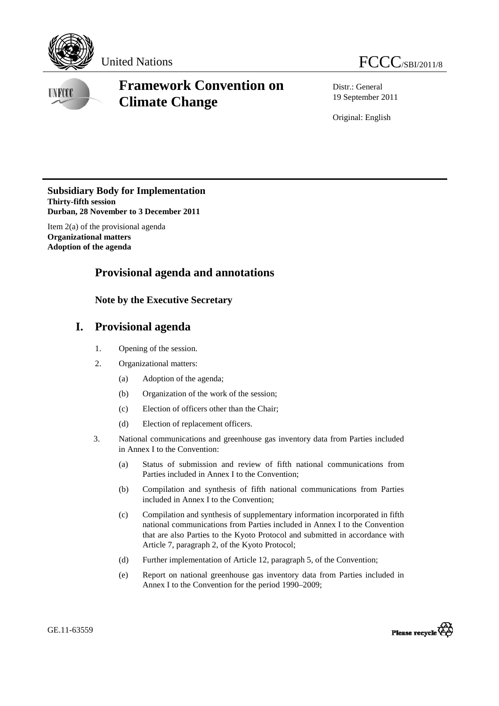

**INFOOT** 

# **Framework Convention on Climate Change**

Distr.: General 19 September 2011

Original: English

**Subsidiary Body for Implementation Thirty-fifth session Durban, 28 November to 3 December 2011**

Item 2(a) of the provisional agenda **Organizational matters Adoption of the agenda** 

## **Provisional agenda and annotations**

### **Note by the Executive Secretary**

## **I. Provisional agenda**

- 1. Opening of the session.
- 2. Organizational matters:
	- (a) Adoption of the agenda;
	- (b) Organization of the work of the session;
	- (c) Election of officers other than the Chair;
	- (d) Election of replacement officers.
- 3. National communications and greenhouse gas inventory data from Parties included in Annex I to the Convention:
	- (a) Status of submission and review of fifth national communications from Parties included in Annex I to the Convention;
	- (b) Compilation and synthesis of fifth national communications from Parties included in Annex I to the Convention;
	- (c) Compilation and synthesis of supplementary information incorporated in fifth national communications from Parties included in Annex I to the Convention that are also Parties to the Kyoto Protocol and submitted in accordance with Article 7, paragraph 2, of the Kyoto Protocol;
	- (d) Further implementation of Article 12, paragraph 5, of the Convention;
	- (e) Report on national greenhouse gas inventory data from Parties included in Annex I to the Convention for the period 1990–2009;

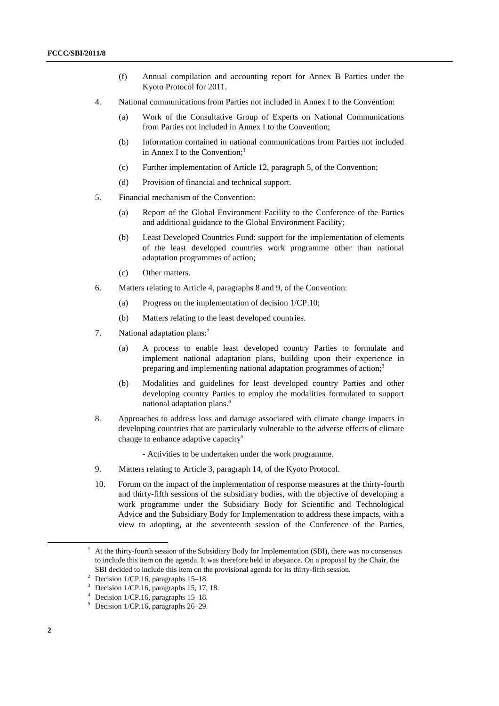- (f) Annual compilation and accounting report for Annex B Parties under the Kyoto Protocol for 2011.
- 4. National communications from Parties not included in Annex I to the Convention:
	- (a) Work of the Consultative Group of Experts on National Communications from Parties not included in Annex I to the Convention;
	- (b) Information contained in national communications from Parties not included in Annex I to the Convention: $<sup>1</sup>$ </sup>
	- (c) Further implementation of Article 12, paragraph 5, of the Convention;
	- (d) Provision of financial and technical support.
- 5. Financial mechanism of the Convention:
	- (a) Report of the Global Environment Facility to the Conference of the Parties and additional guidance to the Global Environment Facility;
	- (b) Least Developed Countries Fund: support for the implementation of elements of the least developed countries work programme other than national adaptation programmes of action;
	- (c) Other matters.
- 6. Matters relating to Article 4, paragraphs 8 and 9, of the Convention:
	- (a) Progress on the implementation of decision 1/CP.10;
	- (b) Matters relating to the least developed countries.
- 7. National adaptation plans:<sup>2</sup>
	- (a) A process to enable least developed country Parties to formulate and implement national adaptation plans, building upon their experience in preparing and implementing national adaptation programmes of action;<sup>3</sup>
	- (b) Modalities and guidelines for least developed country Parties and other developing country Parties to employ the modalities formulated to support national adaptation plans.<sup>4</sup>
- 8. Approaches to address loss and damage associated with climate change impacts in developing countries that are particularly vulnerable to the adverse effects of climate change to enhance adaptive capacity<sup>5</sup>
	- Activities to be undertaken under the work programme.
- 9. Matters relating to Article 3, paragraph 14, of the Kyoto Protocol.
- 10. Forum on the impact of the implementation of response measures at the thirty-fourth and thirty-fifth sessions of the subsidiary bodies, with the objective of developing a work programme under the Subsidiary Body for Scientific and Technological Advice and the Subsidiary Body for Implementation to address these impacts, with a view to adopting, at the seventeenth session of the Conference of the Parties,

<sup>&</sup>lt;u>1</u> At the thirty-fourth session of the Subsidiary Body for Implementation (SBI), there was no consensus to include this item on the agenda. It was therefore held in abeyance. On a proposal by the Chair, the SBI decided to include this item on the provisional agenda for its thirty-fifth session.

Decision 1/CP.16, paragraphs 15–18.

<sup>3</sup> Decision 1/CP.16, paragraphs 15, 17, 18.

<sup>4</sup> Decision 1/CP.16, paragraphs 15–18.

<sup>5</sup> Decision 1/CP.16, paragraphs 26–29.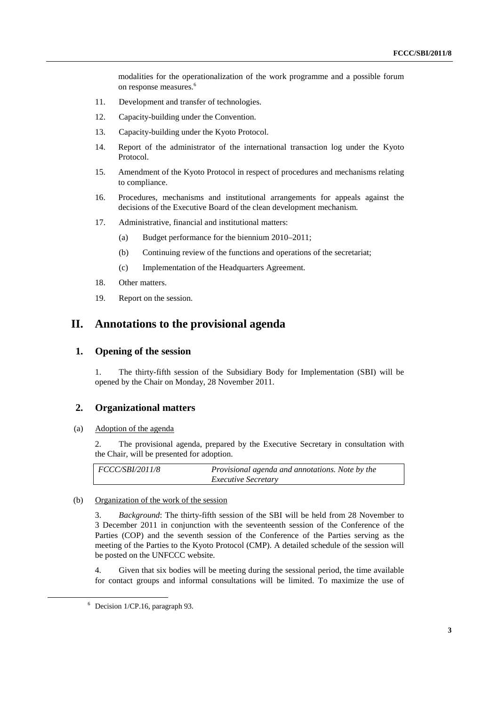modalities for the operationalization of the work programme and a possible forum on response measures.<sup>6</sup>

- 11. Development and transfer of technologies.
- 12. Capacity-building under the Convention.
- 13. Capacity-building under the Kyoto Protocol.
- 14. Report of the administrator of the international transaction log under the Kyoto Protocol.
- 15. Amendment of the Kyoto Protocol in respect of procedures and mechanisms relating to compliance.
- 16. Procedures, mechanisms and institutional arrangements for appeals against the decisions of the Executive Board of the clean development mechanism.
- 17. Administrative, financial and institutional matters:
	- (a) Budget performance for the biennium 2010–2011;
	- (b) Continuing review of the functions and operations of the secretariat;
	- (c) Implementation of the Headquarters Agreement.
- 18. Other matters.
- 19. Report on the session.

### **II. Annotations to the provisional agenda**

### **1. Opening of the session**

1. The thirty-fifth session of the Subsidiary Body for Implementation (SBI) will be opened by the Chair on Monday, 28 November 2011.

### **2. Organizational matters**

#### (a) Adoption of the agenda

2. The provisional agenda, prepared by the Executive Secretary in consultation with the Chair, will be presented for adoption.

| $\mid FCCC/SBI/2011/8$ | Provisional agenda and annotations. Note by the |
|------------------------|-------------------------------------------------|
|                        | <i>Executive Secretary</i>                      |

#### (b) Organization of the work of the session

3. *Background*: The thirty-fifth session of the SBI will be held from 28 November to 3 December 2011 in conjunction with the seventeenth session of the Conference of the Parties (COP) and the seventh session of the Conference of the Parties serving as the meeting of the Parties to the Kyoto Protocol (CMP). A detailed schedule of the session will be posted on the UNFCCC website.

4. Given that six bodies will be meeting during the sessional period, the time available for contact groups and informal consultations will be limited. To maximize the use of

 <sup>6</sup> Decision 1/CP.16, paragraph 93.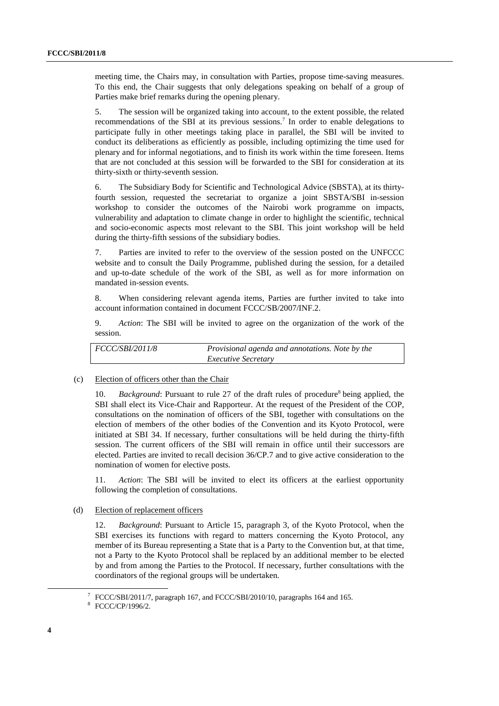meeting time, the Chairs may, in consultation with Parties, propose time-saving measures. To this end, the Chair suggests that only delegations speaking on behalf of a group of Parties make brief remarks during the opening plenary.

5. The session will be organized taking into account, to the extent possible, the related recommendations of the SBI at its previous sessions.<sup>7</sup> In order to enable delegations to participate fully in other meetings taking place in parallel, the SBI will be invited to conduct its deliberations as efficiently as possible, including optimizing the time used for plenary and for informal negotiations, and to finish its work within the time foreseen. Items that are not concluded at this session will be forwarded to the SBI for consideration at its thirty-sixth or thirty-seventh session.

6. The Subsidiary Body for Scientific and Technological Advice (SBSTA), at its thirtyfourth session, requested the secretariat to organize a joint SBSTA/SBI in-session workshop to consider the outcomes of the Nairobi work programme on impacts, vulnerability and adaptation to climate change in order to highlight the scientific, technical and socio-economic aspects most relevant to the SBI. This joint workshop will be held during the thirty-fifth sessions of the subsidiary bodies.

7. Parties are invited to refer to the overview of the session posted on the UNFCCC website and to consult the Daily Programme, published during the session, for a detailed and up-to-date schedule of the work of the SBI, as well as for more information on mandated in-session events.

8. When considering relevant agenda items, Parties are further invited to take into account information contained in document FCCC/SB/2007/INF.2.

9. *Action*: The SBI will be invited to agree on the organization of the work of the session.

| FCCC/SBI/2011/8 | Provisional agenda and annotations. Note by the |
|-----------------|-------------------------------------------------|
|                 | <i>Executive Secretary</i>                      |

#### (c) Election of officers other than the Chair

10. *Background*: Pursuant to rule 27 of the draft rules of procedure<sup>8</sup> being applied, the SBI shall elect its Vice-Chair and Rapporteur. At the request of the President of the COP, consultations on the nomination of officers of the SBI, together with consultations on the election of members of the other bodies of the Convention and its Kyoto Protocol, were initiated at SBI 34. If necessary, further consultations will be held during the thirty-fifth session. The current officers of the SBI will remain in office until their successors are elected. Parties are invited to recall decision 36/CP.7 and to give active consideration to the nomination of women for elective posts.

11. *Action*: The SBI will be invited to elect its officers at the earliest opportunity following the completion of consultations.

#### (d) Election of replacement officers

12. *Background*: Pursuant to Article 15, paragraph 3, of the Kyoto Protocol, when the SBI exercises its functions with regard to matters concerning the Kyoto Protocol, any member of its Bureau representing a State that is a Party to the Convention but, at that time, not a Party to the Kyoto Protocol shall be replaced by an additional member to be elected by and from among the Parties to the Protocol. If necessary, further consultations with the coordinators of the regional groups will be undertaken.

 <sup>7</sup> <sup>7</sup> FCCC/SBI/2011/7, paragraph 167, and FCCC/SBI/2010/10, paragraphs 164 and 165.

FCCC/CP/1996/2.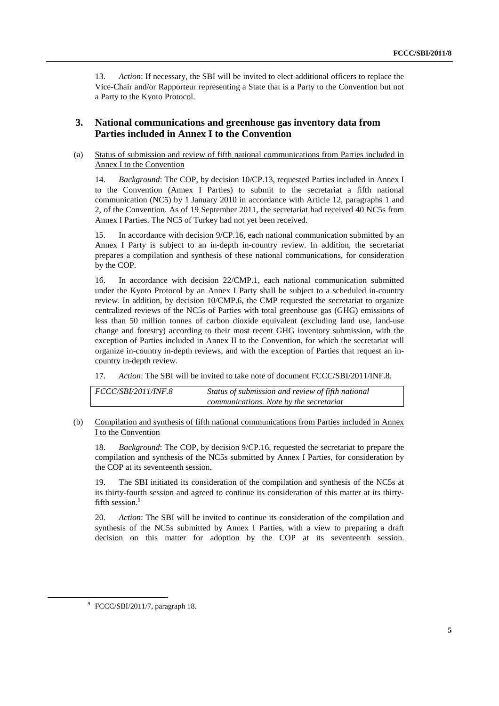13. *Action*: If necessary, the SBI will be invited to elect additional officers to replace the Vice-Chair and/or Rapporteur representing a State that is a Party to the Convention but not a Party to the Kyoto Protocol.

### **3. National communications and greenhouse gas inventory data from Parties included in Annex I to the Convention**

 (a) Status of submission and review of fifth national communications from Parties included in Annex I to the Convention

14. *Background*: The COP, by decision 10/CP.13, requested Parties included in Annex I to the Convention (Annex I Parties) to submit to the secretariat a fifth national communication (NC5) by 1 January 2010 in accordance with Article 12, paragraphs 1 and 2, of the Convention. As of 19 September 2011, the secretariat had received 40 NC5s from Annex I Parties. The NC5 of Turkey had not yet been received.

15. In accordance with decision 9/CP.16, each national communication submitted by an Annex I Party is subject to an in-depth in-country review. In addition, the secretariat prepares a compilation and synthesis of these national communications, for consideration by the COP.

16. In accordance with decision 22/CMP.1, each national communication submitted under the Kyoto Protocol by an Annex I Party shall be subject to a scheduled in-country review. In addition, by decision 10/CMP.6, the CMP requested the secretariat to organize centralized reviews of the NC5s of Parties with total greenhouse gas (GHG) emissions of less than 50 million tonnes of carbon dioxide equivalent (excluding land use, land-use change and forestry) according to their most recent GHG inventory submission, with the exception of Parties included in Annex II to the Convention, for which the secretariat will organize in-country in-depth reviews, and with the exception of Parties that request an incountry in-depth review.

17. *Action*: The SBI will be invited to take note of document FCCC/SBI/2011/INF.8.

| <i>FCCC/SBI/2011/INF.8</i> | Status of submission and review of fifth national |
|----------------------------|---------------------------------------------------|
|                            | communications. Note by the secretariat           |

#### (b) Compilation and synthesis of fifth national communications from Parties included in Annex I to the Convention

18. *Background*: The COP, by decision 9/CP.16, requested the secretariat to prepare the compilation and synthesis of the NC5s submitted by Annex I Parties, for consideration by the COP at its seventeenth session.

19. The SBI initiated its consideration of the compilation and synthesis of the NC5s at its thirty-fourth session and agreed to continue its consideration of this matter at its thirtyfifth session.<sup>9</sup>

20. *Action*: The SBI will be invited to continue its consideration of the compilation and synthesis of the NC5s submitted by Annex I Parties, with a view to preparing a draft decision on this matter for adoption by the COP at its seventeenth session.

 <sup>9</sup> <sup>9</sup> FCCC/SBI/2011/7, paragraph 18.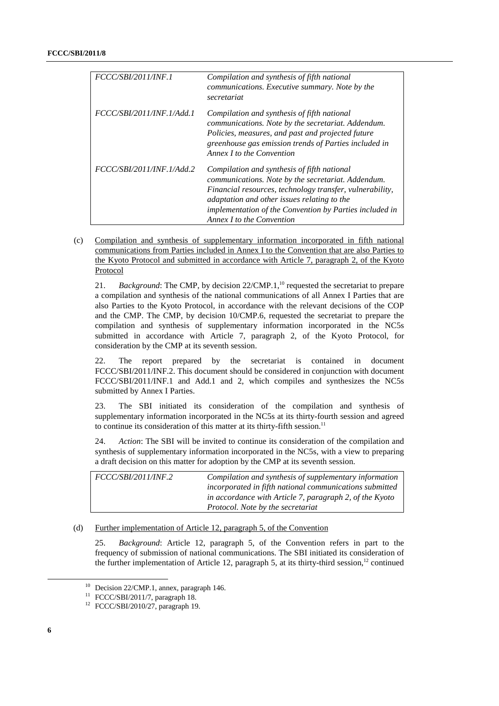| <b>FCCC/SBI/2011/INF.1</b> | Compilation and synthesis of fifth national<br>communications. Executive summary. Note by the<br>secretariat                                                                                                                                                                                         |
|----------------------------|------------------------------------------------------------------------------------------------------------------------------------------------------------------------------------------------------------------------------------------------------------------------------------------------------|
| FCCC/SBI/2011/INF.1/Add.1  | Compilation and synthesis of fifth national<br>communications. Note by the secretariat. Addendum.<br>Policies, measures, and past and projected future<br>greenhouse gas emission trends of Parties included in<br>Annex <i>I</i> to the Convention                                                  |
| FCCC/SBI/2011/INF.1/Add.2  | Compilation and synthesis of fifth national<br>communications. Note by the secretariat. Addendum.<br>Financial resources, technology transfer, vulnerability,<br>adaptation and other issues relating to the<br>implementation of the Convention by Parties included in<br>Annex I to the Convention |

 (c) Compilation and synthesis of supplementary information incorporated in fifth national communications from Parties included in Annex I to the Convention that are also Parties to the Kyoto Protocol and submitted in accordance with Article 7, paragraph 2, of the Kyoto Protocol

21. *Background*: The CMP, by decision 22/CMP.1,<sup>10</sup> requested the secretariat to prepare a compilation and synthesis of the national communications of all Annex I Parties that are also Parties to the Kyoto Protocol, in accordance with the relevant decisions of the COP and the CMP. The CMP, by decision 10/CMP.6, requested the secretariat to prepare the compilation and synthesis of supplementary information incorporated in the NC5s submitted in accordance with Article 7, paragraph 2, of the Kyoto Protocol, for consideration by the CMP at its seventh session.

22. The report prepared by the secretariat is contained in document FCCC/SBI/2011/INF.2. This document should be considered in conjunction with document FCCC/SBI/2011/INF.1 and Add.1 and 2, which compiles and synthesizes the NC5s submitted by Annex I Parties.

23. The SBI initiated its consideration of the compilation and synthesis of supplementary information incorporated in the NC5s at its thirty-fourth session and agreed to continue its consideration of this matter at its thirty-fifth session. $11$ 

24. *Action*: The SBI will be invited to continue its consideration of the compilation and synthesis of supplementary information incorporated in the NC5s, with a view to preparing a draft decision on this matter for adoption by the CMP at its seventh session.

| <i>FCCC/SBI/2011/INF.2</i> | Compilation and synthesis of supplementary information  |
|----------------------------|---------------------------------------------------------|
|                            | incorporated in fifth national communications submitted |
|                            | in accordance with Article 7, paragraph 2, of the Kyoto |
|                            | Protocol. Note by the secretariat                       |

#### (d) Further implementation of Article 12, paragraph 5, of the Convention

25. *Background*: Article 12, paragraph 5, of the Convention refers in part to the frequency of submission of national communications. The SBI initiated its consideration of the further implementation of Article 12, paragraph 5, at its thirty-third session,<sup>12</sup> continued

<sup>&</sup>lt;sup>10</sup> Decision 22/CMP.1, annex, paragraph 146.

<sup>11</sup> FCCC/SBI/2011/7, paragraph 18.

<sup>12</sup> FCCC/SBI/2010/27, paragraph 19.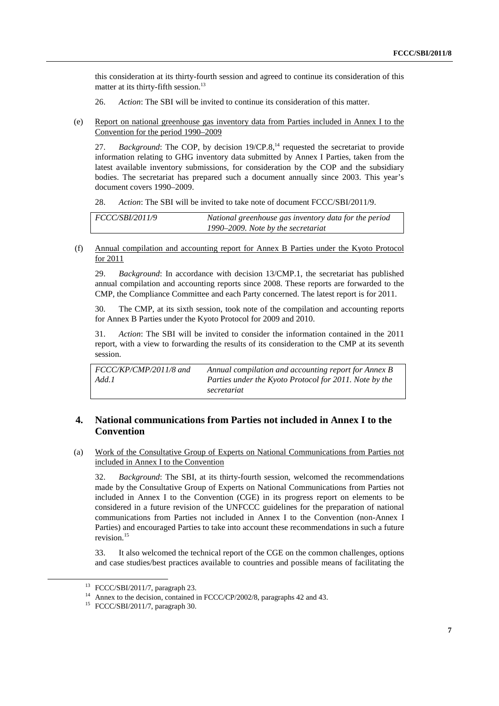this consideration at its thirty-fourth session and agreed to continue its consideration of this matter at its thirty-fifth session.<sup>13</sup>

- 26. *Action*: The SBI will be invited to continue its consideration of this matter.
- (e) Report on national greenhouse gas inventory data from Parties included in Annex I to the Convention for the period 1990–2009

27. *Background*: The COP, by decision 19/CP.8,<sup>14</sup> requested the secretariat to provide information relating to GHG inventory data submitted by Annex I Parties, taken from the latest available inventory submissions, for consideration by the COP and the subsidiary bodies. The secretariat has prepared such a document annually since 2003. This year's document covers 1990–2009.

28. *Action*: The SBI will be invited to take note of document FCCC/SBI/2011/9.

| <i>FCCC/SBI/2011/9</i> | National greenhouse gas inventory data for the period |
|------------------------|-------------------------------------------------------|
|                        | 1990–2009. Note by the secretariat                    |

 (f) Annual compilation and accounting report for Annex B Parties under the Kyoto Protocol for 2011

29. *Background*: In accordance with decision 13/CMP.1, the secretariat has published annual compilation and accounting reports since 2008. These reports are forwarded to the CMP, the Compliance Committee and each Party concerned. The latest report is for 2011.

30. The CMP, at its sixth session, took note of the compilation and accounting reports for Annex B Parties under the Kyoto Protocol for 2009 and 2010.

31. *Action*: The SBI will be invited to consider the information contained in the 2011 report, with a view to forwarding the results of its consideration to the CMP at its seventh session.

*FCCC/KP/CMP/2011/8 and Add.1 Annual compilation and accounting report for Annex B Parties under the Kyoto Protocol for 2011. Note by the secretariat*

### **4. National communications from Parties not included in Annex I to the Convention**

 (a) Work of the Consultative Group of Experts on National Communications from Parties not included in Annex I to the Convention

32. *Background*: The SBI, at its thirty-fourth session, welcomed the recommendations made by the Consultative Group of Experts on National Communications from Parties not included in Annex I to the Convention (CGE) in its progress report on elements to be considered in a future revision of the UNFCCC guidelines for the preparation of national communications from Parties not included in Annex I to the Convention (non-Annex I Parties) and encouraged Parties to take into account these recommendations in such a future revision.<sup>15</sup>

33. It also welcomed the technical report of the CGE on the common challenges, options and case studies/best practices available to countries and possible means of facilitating the

 <sup>13</sup> FCCC/SBI/2011/7, paragraph 23.

<sup>&</sup>lt;sup>14</sup> Annex to the decision, contained in FCCC/CP/2002/8, paragraphs 42 and 43.

<sup>15</sup> FCCC/SBI/2011/7, paragraph 30.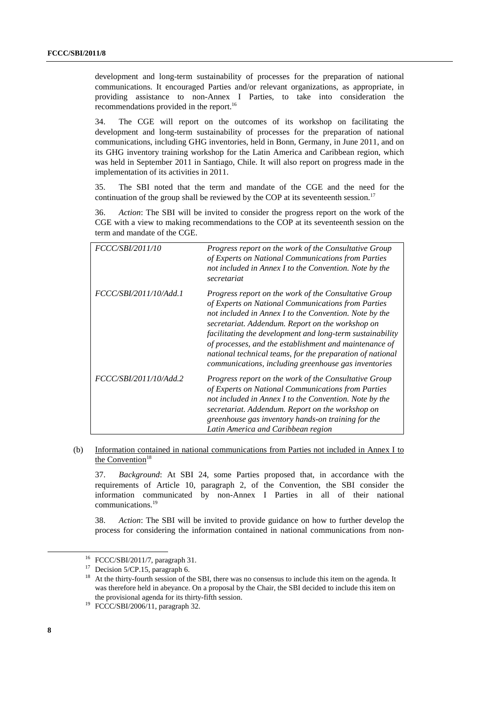development and long-term sustainability of processes for the preparation of national communications. It encouraged Parties and/or relevant organizations, as appropriate, in providing assistance to non-Annex I Parties, to take into consideration the recommendations provided in the report.<sup>16</sup>

34. The CGE will report on the outcomes of its workshop on facilitating the development and long-term sustainability of processes for the preparation of national communications, including GHG inventories, held in Bonn, Germany, in June 2011, and on its GHG inventory training workshop for the Latin America and Caribbean region, which was held in September 2011 in Santiago, Chile. It will also report on progress made in the implementation of its activities in 2011.

35. The SBI noted that the term and mandate of the CGE and the need for the continuation of the group shall be reviewed by the COP at its seventeenth session.<sup>17</sup>

36. *Action*: The SBI will be invited to consider the progress report on the work of the CGE with a view to making recommendations to the COP at its seventeenth session on the term and mandate of the CGE.

| <i>FCCC/SBI/2011/10</i> | Progress report on the work of the Consultative Group<br>of Experts on National Communications from Parties<br>not included in Annex I to the Convention. Note by the<br>secretariat                                                                                                                                                                                                                                                                                  |
|-------------------------|-----------------------------------------------------------------------------------------------------------------------------------------------------------------------------------------------------------------------------------------------------------------------------------------------------------------------------------------------------------------------------------------------------------------------------------------------------------------------|
| FCCC/SBI/2011/10/Add.1  | Progress report on the work of the Consultative Group<br>of Experts on National Communications from Parties<br>not included in Annex I to the Convention. Note by the<br>secretariat. Addendum. Report on the workshop on<br>facilitating the development and long-term sustainability<br>of processes, and the establishment and maintenance of<br>national technical teams, for the preparation of national<br>communications, including greenhouse gas inventories |
| FCCC/SBI/2011/10/Add.2  | Progress report on the work of the Consultative Group<br>of Experts on National Communications from Parties<br>not included in Annex I to the Convention. Note by the<br>secretariat. Addendum. Report on the workshop on<br>greenhouse gas inventory hands-on training for the<br>Latin America and Caribbean region                                                                                                                                                 |

 (b) Information contained in national communications from Parties not included in Annex I to the Convention<sup>18</sup>

37. *Background*: At SBI 24, some Parties proposed that, in accordance with the requirements of Article 10, paragraph 2, of the Convention, the SBI consider the information communicated by non-Annex I Parties in all of their national communications.<sup>19</sup>

38. *Action*: The SBI will be invited to provide guidance on how to further develop the process for considering the information contained in national communications from non-

 <sup>16</sup> FCCC/SBI/2011/7, paragraph 31.

<sup>&</sup>lt;sup>17</sup> Decision 5/CP.15, paragraph 6.

At the thirty-fourth session of the SBI, there was no consensus to include this item on the agenda. It was therefore held in abeyance. On a proposal by the Chair, the SBI decided to include this item on the provisional agenda for its thirty-fifth session.<br><sup>19</sup> FCCC/SBI/2006/11, paragraph 32.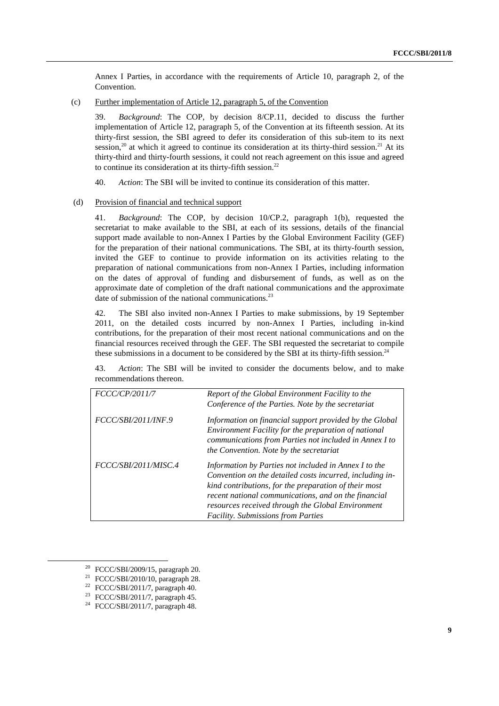Annex I Parties, in accordance with the requirements of Article 10, paragraph 2, of the Convention.

(c) Further implementation of Article 12, paragraph 5, of the Convention

39. *Background*: The COP, by decision 8/CP.11, decided to discuss the further implementation of Article 12, paragraph 5, of the Convention at its fifteenth session. At its thirty-first session, the SBI agreed to defer its consideration of this sub-item to its next session,<sup>20</sup> at which it agreed to continue its consideration at its thirty-third session.<sup>21</sup> At its thirty-third and thirty-fourth sessions, it could not reach agreement on this issue and agreed to continue its consideration at its thirty-fifth session. $^{22}$ 

40. *Action*: The SBI will be invited to continue its consideration of this matter.

#### (d) Provision of financial and technical support

41. *Background*: The COP, by decision 10/CP.2, paragraph 1(b), requested the secretariat to make available to the SBI, at each of its sessions, details of the financial support made available to non-Annex I Parties by the Global Environment Facility (GEF) for the preparation of their national communications. The SBI, at its thirty-fourth session, invited the GEF to continue to provide information on its activities relating to the preparation of national communications from non-Annex I Parties, including information on the dates of approval of funding and disbursement of funds, as well as on the approximate date of completion of the draft national communications and the approximate date of submission of the national communications.<sup>23</sup>

42. The SBI also invited non-Annex I Parties to make submissions, by 19 September 2011, on the detailed costs incurred by non-Annex I Parties, including in-kind contributions, for the preparation of their most recent national communications and on the financial resources received through the GEF. The SBI requested the secretariat to compile these submissions in a document to be considered by the SBI at its thirty-fifth session.<sup>24</sup>

43. *Action*: The SBI will be invited to consider the documents below, and to make recommendations thereon.

| FCCC/CP/2011/7       | Report of the Global Environment Facility to the<br>Conference of the Parties. Note by the secretariat                                                                                                                                                                                                                               |
|----------------------|--------------------------------------------------------------------------------------------------------------------------------------------------------------------------------------------------------------------------------------------------------------------------------------------------------------------------------------|
| FCCC/SBI/2011/INF.9  | Information on financial support provided by the Global<br>Environment Facility for the preparation of national<br>communications from Parties not included in Annex I to<br>the Convention. Note by the secretariat                                                                                                                 |
| FCCC/SBI/2011/MISC.4 | Information by Parties not included in Annex I to the<br>Convention on the detailed costs incurred, including in-<br>kind contributions, for the preparation of their most<br>recent national communications, and on the financial<br>resources received through the Global Environment<br><b>Facility.</b> Submissions from Parties |

 <sup>20</sup> FCCC/SBI/2009/15, paragraph 20.

<sup>21</sup> FCCC/SBI/2010/10, paragraph 28.

<sup>22</sup> FCCC/SBI/2011/7, paragraph 40.

<sup>23</sup> FCCC/SBI/2011/7, paragraph 45.

<sup>24</sup> FCCC/SBI/2011/7, paragraph 48.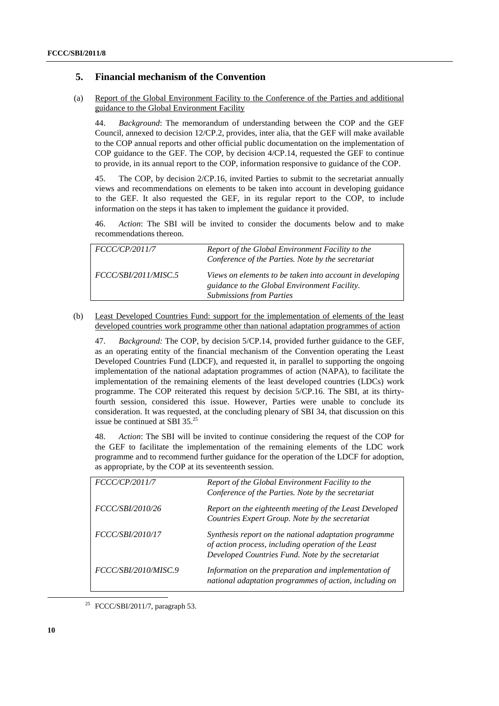### **5. Financial mechanism of the Convention**

 (a) Report of the Global Environment Facility to the Conference of the Parties and additional guidance to the Global Environment Facility

44. *Background*: The memorandum of understanding between the COP and the GEF Council, annexed to decision 12/CP.2, provides, inter alia, that the GEF will make available to the COP annual reports and other official public documentation on the implementation of COP guidance to the GEF. The COP, by decision 4/CP.14, requested the GEF to continue to provide, in its annual report to the COP, information responsive to guidance of the COP.

45. The COP, by decision 2/CP.16, invited Parties to submit to the secretariat annually views and recommendations on elements to be taken into account in developing guidance to the GEF. It also requested the GEF, in its regular report to the COP, to include information on the steps it has taken to implement the guidance it provided.

46. *Action*: The SBI will be invited to consider the documents below and to make recommendations thereon.

| <i>FCCC/CP/2011/7</i> | Report of the Global Environment Facility to the<br>Conference of the Parties. Note by the secretariat                                      |
|-----------------------|---------------------------------------------------------------------------------------------------------------------------------------------|
| FCCC/SBI/2011/MISC.5  | Views on elements to be taken into account in developing<br>guidance to the Global Environment Facility.<br><b>Submissions from Parties</b> |

 (b) Least Developed Countries Fund: support for the implementation of elements of the least developed countries work programme other than national adaptation programmes of action

47. *Background:* The COP, by decision 5/CP.14, provided further guidance to the GEF, as an operating entity of the financial mechanism of the Convention operating the Least Developed Countries Fund (LDCF), and requested it, in parallel to supporting the ongoing implementation of the national adaptation programmes of action (NAPA), to facilitate the implementation of the remaining elements of the least developed countries (LDCs) work programme. The COP reiterated this request by decision 5/CP.16. The SBI, at its thirtyfourth session, considered this issue. However, Parties were unable to conclude its consideration. It was requested, at the concluding plenary of SBI 34, that discussion on this issue be continued at SBI 35.25

48. *Action*: The SBI will be invited to continue considering the request of the COP for the GEF to facilitate the implementation of the remaining elements of the LDC work programme and to recommend further guidance for the operation of the LDCF for adoption, as appropriate, by the COP at its seventeenth session.

| FCCC/CP/2011/7          | Report of the Global Environment Facility to the<br>Conference of the Parties. Note by the secretariat                                                            |
|-------------------------|-------------------------------------------------------------------------------------------------------------------------------------------------------------------|
| <i>FCCC/SBI/2010/26</i> | Report on the eighteenth meeting of the Least Developed<br>Countries Expert Group. Note by the secretariat                                                        |
| FCCC/SBI/2010/17        | Synthesis report on the national adaptation programme<br>of action process, including operation of the Least<br>Developed Countries Fund. Note by the secretariat |
| FCCC/SBI/2010/MISC.9    | Information on the preparation and implementation of<br>national adaptation programmes of action, including on                                                    |

25 FCCC/SBI/2011/7, paragraph 53.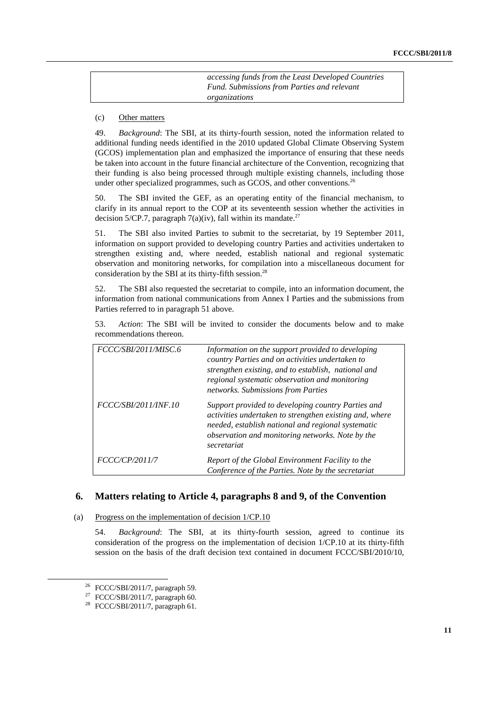*accessing funds from the Least Developed Countries Fund. Submissions from Parties and relevant organizations* 

(c) Other matters

49. *Background*: The SBI, at its thirty-fourth session, noted the information related to additional funding needs identified in the 2010 updated Global Climate Observing System (GCOS) implementation plan and emphasized the importance of ensuring that these needs be taken into account in the future financial architecture of the Convention, recognizing that their funding is also being processed through multiple existing channels, including those under other specialized programmes, such as GCOS, and other conventions.<sup>26</sup>

50. The SBI invited the GEF, as an operating entity of the financial mechanism, to clarify in its annual report to the COP at its seventeenth session whether the activities in decision 5/CP.7, paragraph 7(a)(iv), fall within its mandate.<sup>27</sup>

51. The SBI also invited Parties to submit to the secretariat, by 19 September 2011, information on support provided to developing country Parties and activities undertaken to strengthen existing and, where needed, establish national and regional systematic observation and monitoring networks, for compilation into a miscellaneous document for consideration by the SBI at its thirty-fifth session.<sup>28</sup>

52. The SBI also requested the secretariat to compile, into an information document, the information from national communications from Annex I Parties and the submissions from Parties referred to in paragraph 51 above.

53. *Action*: The SBI will be invited to consider the documents below and to make recommendations thereon.

| FCCC/SBI/2011/MISC.6  | Information on the support provided to developing<br>country Parties and on activities undertaken to<br>strengthen existing, and to establish, national and<br>regional systematic observation and monitoring<br>networks. Submissions from Parties |
|-----------------------|-----------------------------------------------------------------------------------------------------------------------------------------------------------------------------------------------------------------------------------------------------|
| FCCC/SBI/2011/INF.10  | Support provided to developing country Parties and<br>activities undertaken to strengthen existing and, where<br>needed, establish national and regional systematic<br>observation and monitoring networks. Note by the<br>secretariat              |
| <i>FCCC/CP/2011/7</i> | Report of the Global Environment Facility to the<br>Conference of the Parties. Note by the secretariat                                                                                                                                              |

### **6. Matters relating to Article 4, paragraphs 8 and 9, of the Convention**

#### (a) Progress on the implementation of decision 1/CP.10

54. *Background*: The SBI, at its thirty-fourth session, agreed to continue its consideration of the progress on the implementation of decision 1/CP.10 at its thirty-fifth session on the basis of the draft decision text contained in document FCCC/SBI/2010/10,

 $26$  FCCC/SBI/2011/7, paragraph 59.

<sup>&</sup>lt;sup>27</sup> FCCC/SBI/2011/7, paragraph 60.

<sup>28</sup> FCCC/SBI/2011/7, paragraph 61.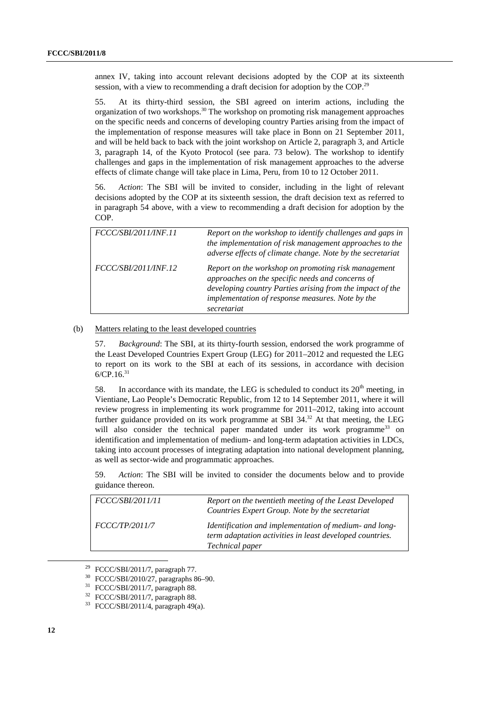annex IV, taking into account relevant decisions adopted by the COP at its sixteenth session, with a view to recommending a draft decision for adoption by the COP.<sup>29</sup>

55. At its thirty-third session, the SBI agreed on interim actions, including the organization of two workshops.30 The workshop on promoting risk management approaches on the specific needs and concerns of developing country Parties arising from the impact of the implementation of response measures will take place in Bonn on 21 September 2011, and will be held back to back with the joint workshop on Article 2, paragraph 3, and Article 3, paragraph 14, of the Kyoto Protocol (see para. 73 below). The workshop to identify challenges and gaps in the implementation of risk management approaches to the adverse effects of climate change will take place in Lima, Peru, from 10 to 12 October 2011.

56. *Action*: The SBI will be invited to consider, including in the light of relevant decisions adopted by the COP at its sixteenth session, the draft decision text as referred to in paragraph 54 above, with a view to recommending a draft decision for adoption by the COP.

| FCCC/SBI/2011/INF.11 | Report on the workshop to identify challenges and gaps in<br>the implementation of risk management approaches to the<br>adverse effects of climate change. Note by the secretariat                                                      |
|----------------------|-----------------------------------------------------------------------------------------------------------------------------------------------------------------------------------------------------------------------------------------|
| FCCC/SBI/2011/INF.12 | Report on the workshop on promoting risk management<br>approaches on the specific needs and concerns of<br>developing country Parties arising from the impact of the<br>implementation of response measures. Note by the<br>secretariat |

#### (b) Matters relating to the least developed countries

57. *Background*: The SBI, at its thirty-fourth session, endorsed the work programme of the Least Developed Countries Expert Group (LEG) for 2011–2012 and requested the LEG to report on its work to the SBI at each of its sessions, in accordance with decision  $6/CP.16.<sup>31</sup>$ 

58. In accordance with its mandate, the LEG is scheduled to conduct its  $20<sup>th</sup>$  meeting, in Vientiane, Lao People's Democratic Republic, from 12 to 14 September 2011, where it will review progress in implementing its work programme for 2011–2012, taking into account further guidance provided on its work programme at SBI 34.<sup>32</sup> At that meeting, the LEG will also consider the technical paper mandated under its work programme<sup>33</sup> on identification and implementation of medium- and long-term adaptation activities in LDCs, taking into account processes of integrating adaptation into national development planning, as well as sector-wide and programmatic approaches.

| 59. |                   |  |  |  |  | Action: The SBI will be invited to consider the documents below and to provide |  |  |
|-----|-------------------|--|--|--|--|--------------------------------------------------------------------------------|--|--|
|     | guidance thereon. |  |  |  |  |                                                                                |  |  |

| FCCC/SBI/2011/11      | Report on the twentieth meeting of the Least Developed<br>Countries Expert Group. Note by the secretariat                             |
|-----------------------|---------------------------------------------------------------------------------------------------------------------------------------|
| <i>FCCC/TP/2011/7</i> | Identification and implementation of medium- and long-<br>term adaptation activities in least developed countries.<br>Technical paper |

 <sup>29</sup> FCCC/SBI/2011/7, paragraph 77.

<sup>30</sup> FCCC/SBI/2010/27, paragraphs 86–90.

FCCC/SBI/2011/7, paragraph 88.

<sup>32</sup> FCCC/SBI/2011/7, paragraph 88.

<sup>33</sup> FCCC/SBI/2011/4, paragraph 49(a).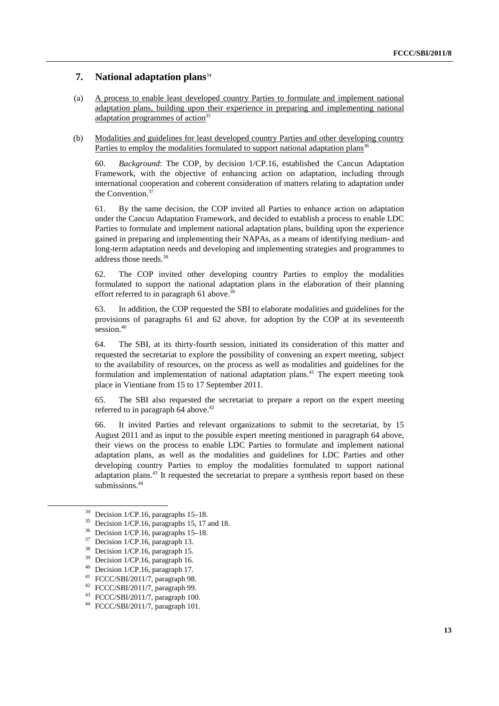### **7. National adaptation plans**<sup>34</sup>

- (a) A process to enable least developed country Parties to formulate and implement national adaptation plans, building upon their experience in preparing and implementing national adaptation programmes of action<sup>35</sup>
- (b) Modalities and guidelines for least developed country Parties and other developing country Parties to employ the modalities formulated to support national adaptation plans<sup>36</sup>

60. *Background*: The COP, by decision 1/CP.16, established the Cancun Adaptation Framework, with the objective of enhancing action on adaptation, including through international cooperation and coherent consideration of matters relating to adaptation under the Convention.<sup>37</sup>

61. By the same decision, the COP invited all Parties to enhance action on adaptation under the Cancun Adaptation Framework, and decided to establish a process to enable LDC Parties to formulate and implement national adaptation plans, building upon the experience gained in preparing and implementing their NAPAs, as a means of identifying medium- and long-term adaptation needs and developing and implementing strategies and programmes to address those needs.38

62. The COP invited other developing country Parties to employ the modalities formulated to support the national adaptation plans in the elaboration of their planning effort referred to in paragraph 61 above.<sup>39</sup>

63. In addition, the COP requested the SBI to elaborate modalities and guidelines for the provisions of paragraphs 61 and 62 above, for adoption by the COP at its seventeenth session.<sup>40</sup>

64. The SBI, at its thirty-fourth session, initiated its consideration of this matter and requested the secretariat to explore the possibility of convening an expert meeting, subject to the availability of resources, on the process as well as modalities and guidelines for the formulation and implementation of national adaptation plans.<sup>41</sup> The expert meeting took place in Vientiane from 15 to 17 September 2011.

65. The SBI also requested the secretariat to prepare a report on the expert meeting referred to in paragraph  $64$  above.<sup>42</sup>

66. It invited Parties and relevant organizations to submit to the secretariat, by 15 August 2011 and as input to the possible expert meeting mentioned in paragraph 64 above, their views on the process to enable LDC Parties to formulate and implement national adaptation plans, as well as the modalities and guidelines for LDC Parties and other developing country Parties to employ the modalities formulated to support national adaptation plans.<sup>43</sup> It requested the secretariat to prepare a synthesis report based on these submissions.<sup>44</sup>

Decision 1/CP.16, paragraphs 15, 17 and 18.

<sup>&</sup>lt;sup>34</sup> Decision 1/CP.16, paragraphs 15–18.

 $^{36}$  Decision 1/CP.16, paragraphs 15–18.

 $^{37}$  Decision 1/CP.16, paragraph 13.

 $38$  Decision 1/CP.16, paragraph 15.

Decision 1/CP.16, paragraph 16.

<sup>40</sup> Decision 1/CP.16, paragraph 17.

<sup>41</sup> FCCC/SBI/2011/7, paragraph 98.

<sup>42</sup> FCCC/SBI/2011/7, paragraph 99.

<sup>43</sup> FCCC/SBI/2011/7, paragraph 100.

<sup>44</sup> FCCC/SBI/2011/7, paragraph 101.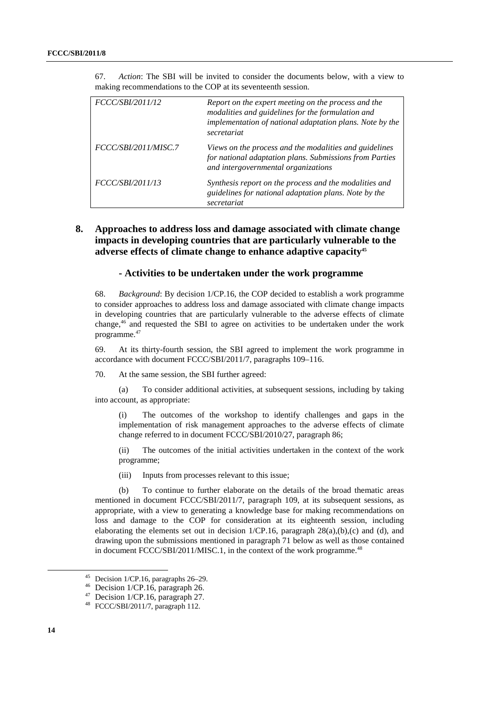| FCCC/SBI/2011/12        | Report on the expert meeting on the process and the<br>modalities and guidelines for the formulation and<br>implementation of national adaptation plans. Note by the<br>secretariat |
|-------------------------|-------------------------------------------------------------------------------------------------------------------------------------------------------------------------------------|
| FCCC/SBI/2011/MISC.7    | Views on the process and the modalities and guidelines<br>for national adaptation plans. Submissions from Parties<br>and intergovernmental organizations                            |
| <i>FCCC/SBI/2011/13</i> | Synthesis report on the process and the modalities and<br>guidelines for national adaptation plans. Note by the<br>secretariat                                                      |

67. *Action*: The SBI will be invited to consider the documents below, with a view to making recommendations to the COP at its seventeenth session.

### **8. Approaches to address loss and damage associated with climate change impacts in developing countries that are particularly vulnerable to the adverse effects of climate change to enhance adaptive capacity45**

#### **- Activities to be undertaken under the work programme**

68. *Background*: By decision 1/CP.16, the COP decided to establish a work programme to consider approaches to address loss and damage associated with climate change impacts in developing countries that are particularly vulnerable to the adverse effects of climate change,46 and requested the SBI to agree on activities to be undertaken under the work programme.47

69. At its thirty-fourth session, the SBI agreed to implement the work programme in accordance with document FCCC/SBI/2011/7, paragraphs 109–116.

70. At the same session, the SBI further agreed:

 (a) To consider additional activities, at subsequent sessions, including by taking into account, as appropriate:

(i) The outcomes of the workshop to identify challenges and gaps in the implementation of risk management approaches to the adverse effects of climate change referred to in document FCCC/SBI/2010/27, paragraph 86;

(ii) The outcomes of the initial activities undertaken in the context of the work programme;

(iii) Inputs from processes relevant to this issue;

 (b) To continue to further elaborate on the details of the broad thematic areas mentioned in document FCCC/SBI/2011/7, paragraph 109, at its subsequent sessions, as appropriate, with a view to generating a knowledge base for making recommendations on loss and damage to the COP for consideration at its eighteenth session, including elaborating the elements set out in decision  $1/CP.16$ , paragraph  $28(a),(b),(c)$  and (d), and drawing upon the submissions mentioned in paragraph 71 below as well as those contained in document  $\text{FCCC}/\text{SBI}/2011/\text{MISC}.1$ , in the context of the work programme.<sup>48</sup>

<sup>&</sup>lt;sup>45</sup> Decision 1/CP.16, paragraphs  $26-29$ .<br><sup>46</sup> Decision 1/CP.16, paragraph 26.

<sup>&</sup>lt;sup>47</sup> Decision 1/CP.16, paragraph 27.  $48$  FCCC/SBI/2011/7, paragraph 112.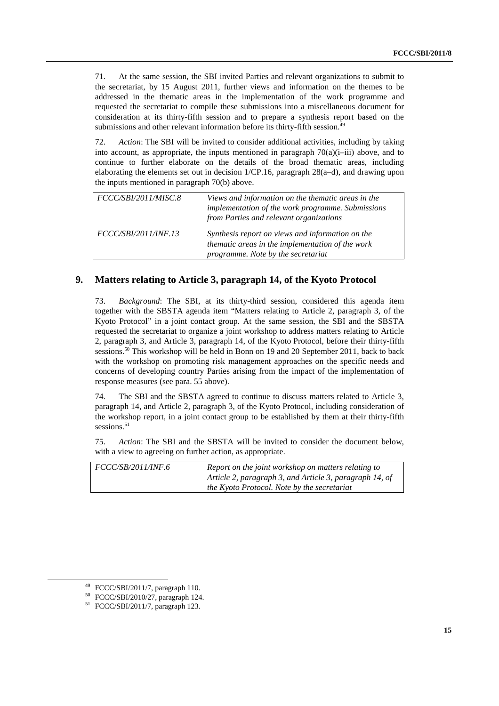71. At the same session, the SBI invited Parties and relevant organizations to submit to the secretariat, by 15 August 2011, further views and information on the themes to be addressed in the thematic areas in the implementation of the work programme and requested the secretariat to compile these submissions into a miscellaneous document for consideration at its thirty-fifth session and to prepare a synthesis report based on the submissions and other relevant information before its thirty-fifth session.<sup>49</sup>

72. *Action*: The SBI will be invited to consider additional activities, including by taking into account, as appropriate, the inputs mentioned in paragraph  $70(a)(i-iii)$  above, and to continue to further elaborate on the details of the broad thematic areas, including elaborating the elements set out in decision 1/CP.16, paragraph 28(a–d), and drawing upon the inputs mentioned in paragraph 70(b) above.

| FCCC/SBI/2011/MISC.8        | Views and information on the thematic areas in the<br>implementation of the work programme. Submissions<br>from Parties and relevant organizations |
|-----------------------------|----------------------------------------------------------------------------------------------------------------------------------------------------|
| <i>FCCC/SBI/2011/INF.13</i> | Synthesis report on views and information on the<br>thematic areas in the implementation of the work<br>programme. Note by the secretariat         |

### **9. Matters relating to Article 3, paragraph 14, of the Kyoto Protocol**

73. *Background*: The SBI, at its thirty-third session, considered this agenda item together with the SBSTA agenda item "Matters relating to Article 2, paragraph 3, of the Kyoto Protocol" in a joint contact group. At the same session, the SBI and the SBSTA requested the secretariat to organize a joint workshop to address matters relating to Article 2, paragraph 3, and Article 3, paragraph 14, of the Kyoto Protocol, before their thirty-fifth sessions.<sup>50</sup> This workshop will be held in Bonn on 19 and 20 September 2011, back to back with the workshop on promoting risk management approaches on the specific needs and concerns of developing country Parties arising from the impact of the implementation of response measures (see para. 55 above).

74. The SBI and the SBSTA agreed to continue to discuss matters related to Article 3, paragraph 14, and Article 2, paragraph 3, of the Kyoto Protocol, including consideration of the workshop report, in a joint contact group to be established by them at their thirty-fifth sessions.<sup>51</sup>

75. *Action*: The SBI and the SBSTA will be invited to consider the document below, with a view to agreeing on further action, as appropriate.

| <i>FCCC/SB/2011/INF.6</i> | Report on the joint workshop on matters relating to     |
|---------------------------|---------------------------------------------------------|
|                           | Article 2, paragraph 3, and Article 3, paragraph 14, of |
|                           | the Kyoto Protocol. Note by the secretariat             |

 <sup>49</sup> FCCC/SBI/2011/7, paragraph 110.

<sup>50</sup> FCCC/SBI/2010/27, paragraph 124.

<sup>51</sup> FCCC/SBI/2011/7, paragraph 123.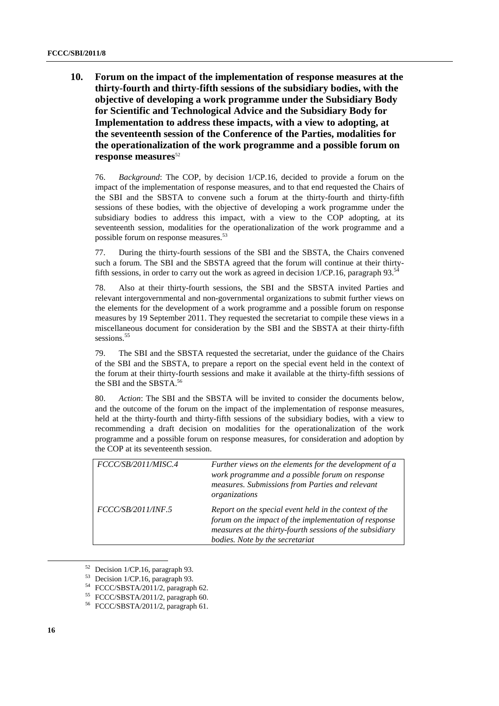**10. Forum on the impact of the implementation of response measures at the thirty-fourth and thirty-fifth sessions of the subsidiary bodies, with the objective of developing a work programme under the Subsidiary Body for Scientific and Technological Advice and the Subsidiary Body for Implementation to address these impacts, with a view to adopting, at the seventeenth session of the Conference of the Parties, modalities for the operationalization of the work programme and a possible forum on**  response measures<sup>52</sup>

76. *Background*: The COP, by decision 1/CP.16, decided to provide a forum on the impact of the implementation of response measures, and to that end requested the Chairs of the SBI and the SBSTA to convene such a forum at the thirty-fourth and thirty-fifth sessions of these bodies, with the objective of developing a work programme under the subsidiary bodies to address this impact, with a view to the COP adopting, at its seventeenth session, modalities for the operationalization of the work programme and a possible forum on response measures.<sup>53</sup>

77. During the thirty-fourth sessions of the SBI and the SBSTA, the Chairs convened such a forum. The SBI and the SBSTA agreed that the forum will continue at their thirtyfifth sessions, in order to carry out the work as agreed in decision  $1/CP.16$ , paragraph 93.<sup>54</sup>

78. Also at their thirty-fourth sessions, the SBI and the SBSTA invited Parties and relevant intergovernmental and non-governmental organizations to submit further views on the elements for the development of a work programme and a possible forum on response measures by 19 September 2011. They requested the secretariat to compile these views in a miscellaneous document for consideration by the SBI and the SBSTA at their thirty-fifth sessions.<sup>55</sup>

79. The SBI and the SBSTA requested the secretariat, under the guidance of the Chairs of the SBI and the SBSTA, to prepare a report on the special event held in the context of the forum at their thirty-fourth sessions and make it available at the thirty-fifth sessions of the SBI and the SBSTA.56

80. *Action*: The SBI and the SBSTA will be invited to consider the documents below, and the outcome of the forum on the impact of the implementation of response measures, held at the thirty-fourth and thirty-fifth sessions of the subsidiary bodies, with a view to recommending a draft decision on modalities for the operationalization of the work programme and a possible forum on response measures, for consideration and adoption by the COP at its seventeenth session.

| FCCC/SB/2011/MISC.4 | Further views on the elements for the development of a<br>work programme and a possible forum on response<br>measures. Submissions from Parties and relevant<br>organizations                                  |
|---------------------|----------------------------------------------------------------------------------------------------------------------------------------------------------------------------------------------------------------|
| FCCC/SB/2011/INF.5  | Report on the special event held in the context of the<br>forum on the impact of the implementation of response<br>measures at the thirty-fourth sessions of the subsidiary<br>bodies. Note by the secretariat |

 <sup>52</sup> Decision 1/CP.16, paragraph 93.

Decision 1/CP.16, paragraph 93.

<sup>54</sup> FCCC/SBSTA/2011/2, paragraph 62.

<sup>55</sup> FCCC/SBSTA/2011/2, paragraph 60.

<sup>56</sup> FCCC/SBSTA/2011/2, paragraph 61.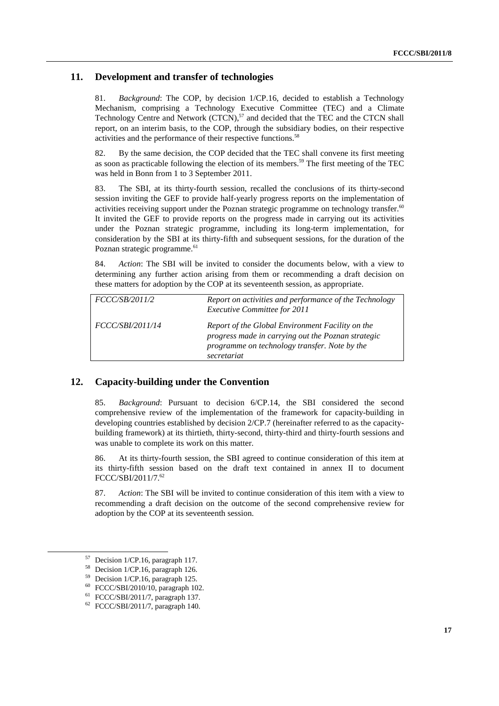### **11. Development and transfer of technologies**

81. *Background*: The COP, by decision 1/CP.16, decided to establish a Technology Mechanism, comprising a Technology Executive Committee (TEC) and a Climate Technology Centre and Network  $(TCN)$ ,<sup>57</sup> and decided that the TEC and the CTCN shall report, on an interim basis, to the COP, through the subsidiary bodies, on their respective activities and the performance of their respective functions.<sup>58</sup>

82. By the same decision, the COP decided that the TEC shall convene its first meeting as soon as practicable following the election of its members.<sup>59</sup> The first meeting of the TEC was held in Bonn from 1 to 3 September 2011.

83. The SBI, at its thirty-fourth session, recalled the conclusions of its thirty-second session inviting the GEF to provide half-yearly progress reports on the implementation of activities receiving support under the Poznan strategic programme on technology transfer.<sup>60</sup> It invited the GEF to provide reports on the progress made in carrying out its activities under the Poznan strategic programme, including its long-term implementation, for consideration by the SBI at its thirty-fifth and subsequent sessions, for the duration of the Poznan strategic programme.<sup>61</sup>

84. *Action*: The SBI will be invited to consider the documents below, with a view to determining any further action arising from them or recommending a draft decision on these matters for adoption by the COP at its seventeenth session, as appropriate.

| FCCC/SB/2011/2          | Report on activities and performance of the Technology<br><b>Executive Committee for 2011</b>                                                                          |
|-------------------------|------------------------------------------------------------------------------------------------------------------------------------------------------------------------|
| <i>FCCC/SBI/2011/14</i> | Report of the Global Environment Facility on the<br>progress made in carrying out the Poznan strategic<br>programme on technology transfer. Note by the<br>secretariat |

### **12. Capacity-building under the Convention**

85. *Background*: Pursuant to decision 6/CP.14, the SBI considered the second comprehensive review of the implementation of the framework for capacity-building in developing countries established by decision 2/CP.7 (hereinafter referred to as the capacitybuilding framework) at its thirtieth, thirty-second, thirty-third and thirty-fourth sessions and was unable to complete its work on this matter.

86. At its thirty-fourth session, the SBI agreed to continue consideration of this item at its thirty-fifth session based on the draft text contained in annex II to document FCCC/SBI/2011/7.62

87. *Action*: The SBI will be invited to continue consideration of this item with a view to recommending a draft decision on the outcome of the second comprehensive review for adoption by the COP at its seventeenth session.

 <sup>57</sup> Decision 1/CP.16, paragraph 117.

 $^{58}$  Decision 1/CP.16, paragraph 126.<br> $^{59}$  Decision 1/CP.16, paragraph 125.

Decision 1/CP.16, paragraph 125.

<sup>60</sup> FCCC/SBI/2010/10, paragraph 102.

<sup>61</sup> FCCC/SBI/2011/7, paragraph 137.

<sup>62</sup> FCCC/SBI/2011/7, paragraph 140.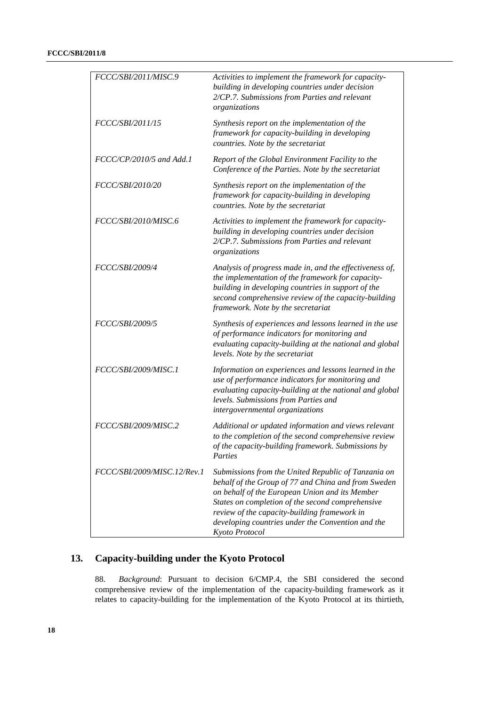| FCCC/SBI/2011/MISC.9        | Activities to implement the framework for capacity-<br>building in developing countries under decision<br>2/CP.7. Submissions from Parties and relevant<br>organizations                                                                                                                                                                |
|-----------------------------|-----------------------------------------------------------------------------------------------------------------------------------------------------------------------------------------------------------------------------------------------------------------------------------------------------------------------------------------|
| FCCC/SBI/2011/15            | Synthesis report on the implementation of the<br>framework for capacity-building in developing<br>countries. Note by the secretariat                                                                                                                                                                                                    |
| FCCC/CP/2010/5 and Add.1    | Report of the Global Environment Facility to the<br>Conference of the Parties. Note by the secretariat                                                                                                                                                                                                                                  |
| FCCC/SBI/2010/20            | Synthesis report on the implementation of the<br>framework for capacity-building in developing<br>countries. Note by the secretariat                                                                                                                                                                                                    |
| FCCC/SBI/2010/MISC.6        | Activities to implement the framework for capacity-<br>building in developing countries under decision<br>2/CP.7. Submissions from Parties and relevant<br>organizations                                                                                                                                                                |
| FCCC/SBI/2009/4             | Analysis of progress made in, and the effectiveness of,<br>the implementation of the framework for capacity-<br>building in developing countries in support of the<br>second comprehensive review of the capacity-building<br>framework. Note by the secretariat                                                                        |
| FCCC/SBI/2009/5             | Synthesis of experiences and lessons learned in the use<br>of performance indicators for monitoring and<br>evaluating capacity-building at the national and global<br>levels. Note by the secretariat                                                                                                                                   |
| FCCC/SBI/2009/MISC.1        | Information on experiences and lessons learned in the<br>use of performance indicators for monitoring and<br>evaluating capacity-building at the national and global<br>levels. Submissions from Parties and<br>intergovernmental organizations                                                                                         |
| FCCC/SBI/2009/MISC.2        | Additional or updated information and views relevant<br>to the completion of the second comprehensive review<br>of the capacity-building framework. Submissions by<br>Parties                                                                                                                                                           |
| FCCC/SBI/2009/MISC.12/Rev.1 | Submissions from the United Republic of Tanzania on<br>behalf of the Group of 77 and China and from Sweden<br>on behalf of the European Union and its Member<br>States on completion of the second comprehensive<br>review of the capacity-building framework in<br>developing countries under the Convention and the<br>Kyoto Protocol |

## **13. Capacity-building under the Kyoto Protocol**

88. *Background*: Pursuant to decision 6/CMP.4, the SBI considered the second comprehensive review of the implementation of the capacity-building framework as it relates to capacity-building for the implementation of the Kyoto Protocol at its thirtieth,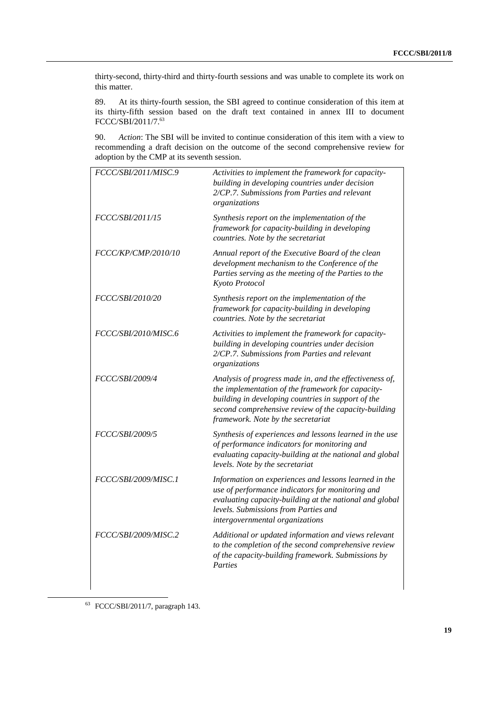thirty-second, thirty-third and thirty-fourth sessions and was unable to complete its work on this matter.

89. At its thirty-fourth session, the SBI agreed to continue consideration of this item at its thirty-fifth session based on the draft text contained in annex III to document FCCC/SBI/2011/7.63

90. *Action*: The SBI will be invited to continue consideration of this item with a view to recommending a draft decision on the outcome of the second comprehensive review for adoption by the CMP at its seventh session.

| FCCC/SBI/2011/MISC.9    | Activities to implement the framework for capacity-<br>building in developing countries under decision<br>2/CP.7. Submissions from Parties and relevant<br>organizations                                                                                         |
|-------------------------|------------------------------------------------------------------------------------------------------------------------------------------------------------------------------------------------------------------------------------------------------------------|
| <i>FCCC/SBI/2011/15</i> | Synthesis report on the implementation of the<br>framework for capacity-building in developing<br>countries. Note by the secretariat                                                                                                                             |
| FCCC/KP/CMP/2010/10     | Annual report of the Executive Board of the clean<br>development mechanism to the Conference of the<br>Parties serving as the meeting of the Parties to the<br>Kyoto Protocol                                                                                    |
| <i>FCCC/SBI/2010/20</i> | Synthesis report on the implementation of the<br>framework for capacity-building in developing<br>countries. Note by the secretariat                                                                                                                             |
| FCCC/SBI/2010/MISC.6    | Activities to implement the framework for capacity-<br>building in developing countries under decision<br>2/CP.7. Submissions from Parties and relevant<br>organizations                                                                                         |
| <i>FCCC/SBI/2009/4</i>  | Analysis of progress made in, and the effectiveness of,<br>the implementation of the framework for capacity-<br>building in developing countries in support of the<br>second comprehensive review of the capacity-building<br>framework. Note by the secretariat |
| <i>FCCC/SBI/2009/5</i>  | Synthesis of experiences and lessons learned in the use<br>of performance indicators for monitoring and<br>evaluating capacity-building at the national and global<br>levels. Note by the secretariat                                                            |
| FCCC/SBI/2009/MISC.1    | Information on experiences and lessons learned in the<br>use of performance indicators for monitoring and<br>evaluating capacity-building at the national and global<br>levels. Submissions from Parties and<br>intergovernmental organizations                  |
| FCCC/SBI/2009/MISC.2    | Additional or updated information and views relevant<br>to the completion of the second comprehensive review<br>of the capacity-building framework. Submissions by<br>Parties                                                                                    |

63 FCCC/SBI/2011/7, paragraph 143.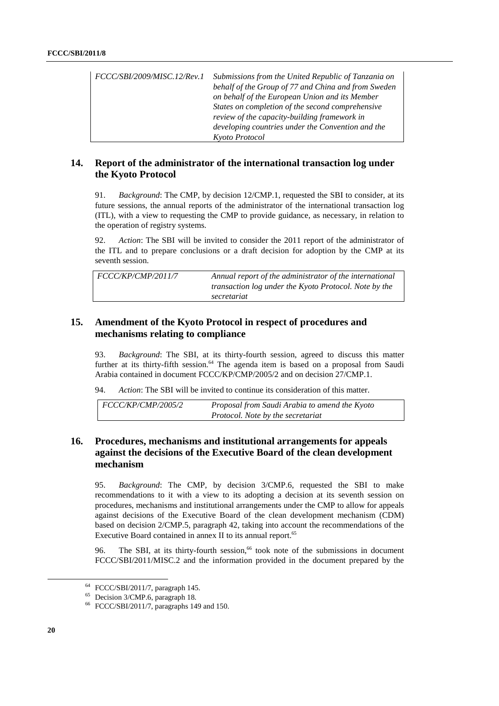| FCCC/SBI/2009/MISC.12/Rev.1 | Submissions from the United Republic of Tanzania on<br>behalf of the Group of 77 and China and from Sweden<br>on behalf of the European Union and its Member<br>States on completion of the second comprehensive<br>review of the capacity-building framework in<br>developing countries under the Convention and the |
|-----------------------------|-----------------------------------------------------------------------------------------------------------------------------------------------------------------------------------------------------------------------------------------------------------------------------------------------------------------------|
|                             | Kyoto Protocol                                                                                                                                                                                                                                                                                                        |

### **14. Report of the administrator of the international transaction log under the Kyoto Protocol**

91. *Background*: The CMP, by decision 12/CMP.1, requested the SBI to consider, at its future sessions, the annual reports of the administrator of the international transaction log (ITL), with a view to requesting the CMP to provide guidance, as necessary, in relation to the operation of registry systems.

92. *Action*: The SBI will be invited to consider the 2011 report of the administrator of the ITL and to prepare conclusions or a draft decision for adoption by the CMP at its seventh session.

| FCCC/KP/CMP/2011/7 | Annual report of the administrator of the international<br>transaction log under the Kyoto Protocol. Note by the<br>secretariat |
|--------------------|---------------------------------------------------------------------------------------------------------------------------------|
|                    |                                                                                                                                 |

### **15. Amendment of the Kyoto Protocol in respect of procedures and mechanisms relating to compliance**

93. *Background*: The SBI, at its thirty-fourth session, agreed to discuss this matter further at its thirty-fifth session.<sup>64</sup> The agenda item is based on a proposal from Saudi Arabia contained in document FCCC/KP/CMP/2005/2 and on decision 27/CMP.1.

94. *Action*: The SBI will be invited to continue its consideration of this matter.

| $\mid$ FCCC/KP/CMP/2005/2 | Proposal from Saudi Arabia to amend the Kyoto |
|---------------------------|-----------------------------------------------|
|                           | Protocol. Note by the secretariat             |

### **16. Procedures, mechanisms and institutional arrangements for appeals against the decisions of the Executive Board of the clean development mechanism**

95. *Background*: The CMP, by decision 3/CMP.6, requested the SBI to make recommendations to it with a view to its adopting a decision at its seventh session on procedures, mechanisms and institutional arrangements under the CMP to allow for appeals against decisions of the Executive Board of the clean development mechanism (CDM) based on decision 2/CMP.5, paragraph 42, taking into account the recommendations of the Executive Board contained in annex II to its annual report.<sup>65</sup>

96. The SBI, at its thirty-fourth session,<sup>66</sup> took note of the submissions in document FCCC/SBI/2011/MISC.2 and the information provided in the document prepared by the

 <sup>64</sup> FCCC/SBI/2011/7, paragraph 145.

<sup>65</sup> Decision 3/CMP.6, paragraph 18.

<sup>66</sup> FCCC/SBI/2011/7, paragraphs 149 and 150.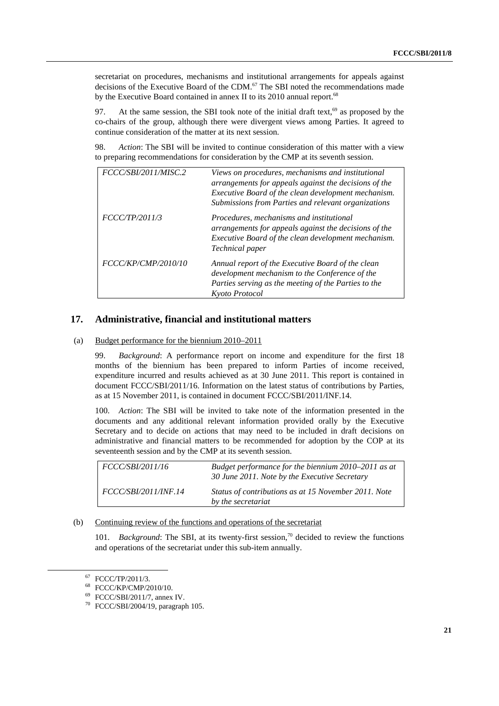secretariat on procedures, mechanisms and institutional arrangements for appeals against decisions of the Executive Board of the CDM.<sup>67</sup> The SBI noted the recommendations made by the Executive Board contained in annex II to its 2010 annual report.<sup>68</sup>

97. At the same session, the SBI took note of the initial draft text,<sup>69</sup> as proposed by the co-chairs of the group, although there were divergent views among Parties. It agreed to continue consideration of the matter at its next session.

98. *Action*: The SBI will be invited to continue consideration of this matter with a view to preparing recommendations for consideration by the CMP at its seventh session.

| FCCC/SBI/2011/MISC.2 | Views on procedures, mechanisms and institutional<br>arrangements for appeals against the decisions of the<br>Executive Board of the clean development mechanism.<br>Submissions from Parties and relevant organizations |
|----------------------|--------------------------------------------------------------------------------------------------------------------------------------------------------------------------------------------------------------------------|
| FCCC/TP/2011/3       | Procedures, mechanisms and institutional<br>arrangements for appeals against the decisions of the<br>Executive Board of the clean development mechanism.<br>Technical paper                                              |
| FCCC/KP/CMP/2010/10  | Annual report of the Executive Board of the clean<br>development mechanism to the Conference of the<br>Parties serving as the meeting of the Parties to the<br>Kyoto Protocol                                            |

### **17. Administrative, financial and institutional matters**

#### (a) Budget performance for the biennium 2010–2011

99. *Background*: A performance report on income and expenditure for the first 18 months of the biennium has been prepared to inform Parties of income received, expenditure incurred and results achieved as at 30 June 2011. This report is contained in document FCCC/SBI/2011/16. Information on the latest status of contributions by Parties, as at 15 November 2011, is contained in document FCCC/SBI/2011/INF.14.

100. *Action*: The SBI will be invited to take note of the information presented in the documents and any additional relevant information provided orally by the Executive Secretary and to decide on actions that may need to be included in draft decisions on administrative and financial matters to be recommended for adoption by the COP at its seventeenth session and by the CMP at its seventh session.

| <i>FCCC/SBI/2011/16</i>     | Budget performance for the biennium 2010–2011 as at<br>30 June 2011. Note by the Executive Secretary |
|-----------------------------|------------------------------------------------------------------------------------------------------|
| $\mid$ FCCC/SBI/2011/INF.14 | Status of contributions as at 15 November 2011. Note<br>by the secretariat                           |

#### (b) Continuing review of the functions and operations of the secretariat

101. *Background*: The SBI, at its twenty-first session,<sup>70</sup> decided to review the functions and operations of the secretariat under this sub-item annually.

 <sup>67</sup> FCCC/TP/2011/3.

<sup>68</sup> FCCC/KP/CMP/2010/10.

<sup>69</sup> FCCC/SBI/2011/7, annex IV.

<sup>70</sup> FCCC/SBI/2004/19, paragraph 105.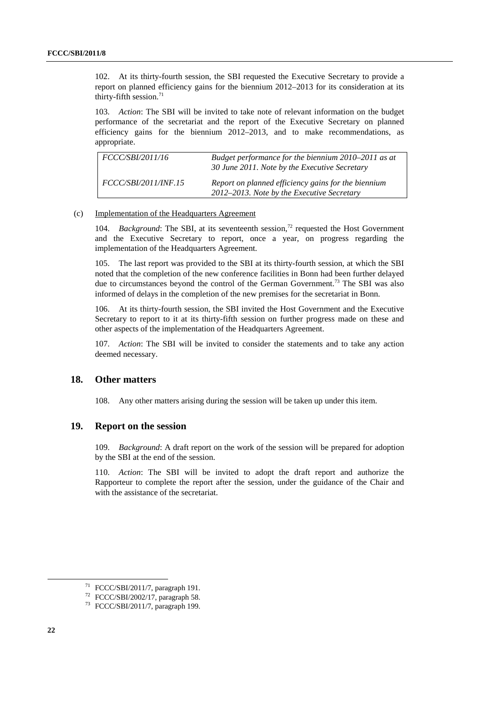102. At its thirty-fourth session, the SBI requested the Executive Secretary to provide a report on planned efficiency gains for the biennium 2012–2013 for its consideration at its thirty-fifth session. $71$ 

103. *Action*: The SBI will be invited to take note of relevant information on the budget performance of the secretariat and the report of the Executive Secretary on planned efficiency gains for the biennium 2012–2013, and to make recommendations, as appropriate.

| <i>FCCC/SBI/2011/16</i>     | Budget performance for the biennium 2010–2011 as at<br>30 June 2011. Note by the Executive Secretary |
|-----------------------------|------------------------------------------------------------------------------------------------------|
| <i>FCCC/SBI/2011/INF.15</i> | Report on planned efficiency gains for the biennium<br>2012–2013. Note by the Executive Secretary    |

#### (c) Implementation of the Headquarters Agreement

104. *Background*: The SBI, at its seventeenth session,<sup>72</sup> requested the Host Government and the Executive Secretary to report, once a year, on progress regarding the implementation of the Headquarters Agreement.

105. The last report was provided to the SBI at its thirty-fourth session, at which the SBI noted that the completion of the new conference facilities in Bonn had been further delayed due to circumstances beyond the control of the German Government.<sup>73</sup> The SBI was also informed of delays in the completion of the new premises for the secretariat in Bonn.

106. At its thirty-fourth session, the SBI invited the Host Government and the Executive Secretary to report to it at its thirty-fifth session on further progress made on these and other aspects of the implementation of the Headquarters Agreement.

107. *Action*: The SBI will be invited to consider the statements and to take any action deemed necessary.

### **18. Other matters**

108. Any other matters arising during the session will be taken up under this item.

### **19. Report on the session**

109. *Background*: A draft report on the work of the session will be prepared for adoption by the SBI at the end of the session.

110. *Action*: The SBI will be invited to adopt the draft report and authorize the Rapporteur to complete the report after the session, under the guidance of the Chair and with the assistance of the secretariat.

 $71$  FCCC/SBI/2011/7, paragraph 191.

<sup>72</sup> FCCC/SBI/2002/17, paragraph 58.

<sup>73</sup> FCCC/SBI/2011/7, paragraph 199.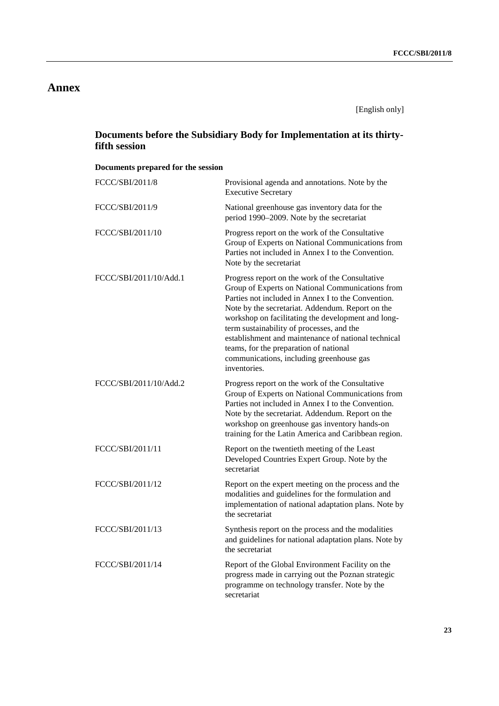## **Annex**

[English only]

## **Documents before the Subsidiary Body for Implementation at its thirtyfifth session**

## **Documents prepared for the session**

| FCCC/SBI/2011/8        | Provisional agenda and annotations. Note by the<br><b>Executive Secretary</b>                                                                                                                                                                                                                                                                                                                                                                                                 |
|------------------------|-------------------------------------------------------------------------------------------------------------------------------------------------------------------------------------------------------------------------------------------------------------------------------------------------------------------------------------------------------------------------------------------------------------------------------------------------------------------------------|
| FCCC/SBI/2011/9        | National greenhouse gas inventory data for the<br>period 1990–2009. Note by the secretariat                                                                                                                                                                                                                                                                                                                                                                                   |
| FCCC/SBI/2011/10       | Progress report on the work of the Consultative<br>Group of Experts on National Communications from<br>Parties not included in Annex I to the Convention.<br>Note by the secretariat                                                                                                                                                                                                                                                                                          |
| FCCC/SBI/2011/10/Add.1 | Progress report on the work of the Consultative<br>Group of Experts on National Communications from<br>Parties not included in Annex I to the Convention.<br>Note by the secretariat. Addendum. Report on the<br>workshop on facilitating the development and long-<br>term sustainability of processes, and the<br>establishment and maintenance of national technical<br>teams, for the preparation of national<br>communications, including greenhouse gas<br>inventories. |
| FCCC/SBI/2011/10/Add.2 | Progress report on the work of the Consultative<br>Group of Experts on National Communications from<br>Parties not included in Annex I to the Convention.<br>Note by the secretariat. Addendum. Report on the<br>workshop on greenhouse gas inventory hands-on<br>training for the Latin America and Caribbean region.                                                                                                                                                        |
| FCCC/SBI/2011/11       | Report on the twentieth meeting of the Least<br>Developed Countries Expert Group. Note by the<br>secretariat                                                                                                                                                                                                                                                                                                                                                                  |
| FCCC/SBI/2011/12       | Report on the expert meeting on the process and the<br>modalities and guidelines for the formulation and<br>implementation of national adaptation plans. Note by<br>the secretariat                                                                                                                                                                                                                                                                                           |
| FCCC/SBI/2011/13       | Synthesis report on the process and the modalities<br>and guidelines for national adaptation plans. Note by<br>the secretariat                                                                                                                                                                                                                                                                                                                                                |
| FCCC/SBI/2011/14       | Report of the Global Environment Facility on the<br>progress made in carrying out the Poznan strategic<br>programme on technology transfer. Note by the<br>secretariat                                                                                                                                                                                                                                                                                                        |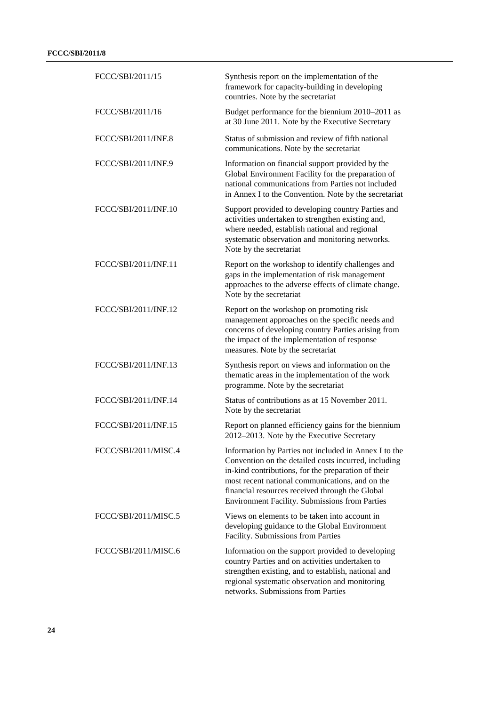| FCCC/SBI/2011/15     | Synthesis report on the implementation of the<br>framework for capacity-building in developing<br>countries. Note by the secretariat                                                                                                                                                                                         |
|----------------------|------------------------------------------------------------------------------------------------------------------------------------------------------------------------------------------------------------------------------------------------------------------------------------------------------------------------------|
| FCCC/SBI/2011/16     | Budget performance for the biennium 2010–2011 as<br>at 30 June 2011. Note by the Executive Secretary                                                                                                                                                                                                                         |
| FCCC/SBI/2011/INF.8  | Status of submission and review of fifth national<br>communications. Note by the secretariat                                                                                                                                                                                                                                 |
| FCCC/SBI/2011/INF.9  | Information on financial support provided by the<br>Global Environment Facility for the preparation of<br>national communications from Parties not included<br>in Annex I to the Convention. Note by the secretariat                                                                                                         |
| FCCC/SBI/2011/INF.10 | Support provided to developing country Parties and<br>activities undertaken to strengthen existing and,<br>where needed, establish national and regional<br>systematic observation and monitoring networks.<br>Note by the secretariat                                                                                       |
| FCCC/SBI/2011/INF.11 | Report on the workshop to identify challenges and<br>gaps in the implementation of risk management<br>approaches to the adverse effects of climate change.<br>Note by the secretariat                                                                                                                                        |
| FCCC/SBI/2011/INF.12 | Report on the workshop on promoting risk<br>management approaches on the specific needs and<br>concerns of developing country Parties arising from<br>the impact of the implementation of response<br>measures. Note by the secretariat                                                                                      |
| FCCC/SBI/2011/INF.13 | Synthesis report on views and information on the<br>thematic areas in the implementation of the work<br>programme. Note by the secretariat                                                                                                                                                                                   |
| FCCC/SBI/2011/INF.14 | Status of contributions as at 15 November 2011.<br>Note by the secretariat                                                                                                                                                                                                                                                   |
| FCCC/SBI/2011/INF.15 | Report on planned efficiency gains for the biennium<br>2012-2013. Note by the Executive Secretary                                                                                                                                                                                                                            |
| FCCC/SBI/2011/MISC.4 | Information by Parties not included in Annex I to the<br>Convention on the detailed costs incurred, including<br>in-kind contributions, for the preparation of their<br>most recent national communications, and on the<br>financial resources received through the Global<br>Environment Facility. Submissions from Parties |
| FCCC/SBI/2011/MISC.5 | Views on elements to be taken into account in<br>developing guidance to the Global Environment<br>Facility. Submissions from Parties                                                                                                                                                                                         |
| FCCC/SBI/2011/MISC.6 | Information on the support provided to developing<br>country Parties and on activities undertaken to<br>strengthen existing, and to establish, national and<br>regional systematic observation and monitoring<br>networks. Submissions from Parties                                                                          |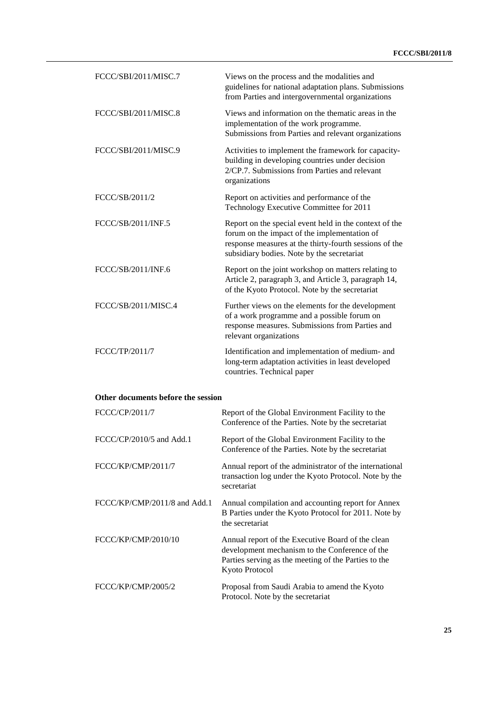| FCCC/SBI/2011/MISC.7               | Views on the process and the modalities and<br>guidelines for national adaptation plans. Submissions<br>from Parties and intergovernmental organizations                                                       |
|------------------------------------|----------------------------------------------------------------------------------------------------------------------------------------------------------------------------------------------------------------|
| FCCC/SBI/2011/MISC.8               | Views and information on the thematic areas in the<br>implementation of the work programme.<br>Submissions from Parties and relevant organizations                                                             |
| FCCC/SBI/2011/MISC.9               | Activities to implement the framework for capacity-<br>building in developing countries under decision<br>2/CP.7. Submissions from Parties and relevant<br>organizations                                       |
| FCCC/SB/2011/2                     | Report on activities and performance of the<br>Technology Executive Committee for 2011                                                                                                                         |
| FCCC/SB/2011/INF.5                 | Report on the special event held in the context of the<br>forum on the impact of the implementation of<br>response measures at the thirty-fourth sessions of the<br>subsidiary bodies. Note by the secretariat |
| FCCC/SB/2011/INF.6                 | Report on the joint workshop on matters relating to<br>Article 2, paragraph 3, and Article 3, paragraph 14,<br>of the Kyoto Protocol. Note by the secretariat                                                  |
| FCCC/SB/2011/MISC.4                | Further views on the elements for the development<br>of a work programme and a possible forum on<br>response measures. Submissions from Parties and<br>relevant organizations                                  |
| FCCC/TP/2011/7                     | Identification and implementation of medium- and<br>long-term adaptation activities in least developed<br>countries. Technical paper                                                                           |
| Other documents before the session |                                                                                                                                                                                                                |
| FCCC/CP/2011/7                     | Report of the Global Environment Facility to the<br>Conference of the Parties. Note by the secretariat                                                                                                         |
| $FCCC/CP/2010/5$ and Add.1         | Report of the Global Environment Facility to the<br>Conference of the Parties. Note by the secretariat                                                                                                         |
| FCCC/KP/CMP/2011/7                 | Annual report of the administrator of the international<br>transaction log under the Kyoto Protocol. Note by the                                                                                               |

FCCC/KP/CMP/2011/8 and Add.1 Annual compilation and accounting report for Annex B Parties under the Kyoto Protocol for 2011. Note by the secretariat FCCC/KP/CMP/2010/10 Annual report of the Executive Board of the clean

secretariat

development mechanism to the Conference of the Parties serving as the meeting of the Parties to the Kyoto Protocol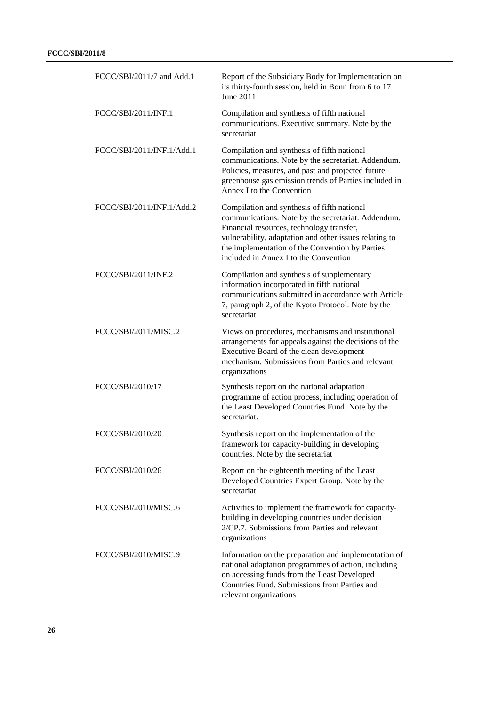| FCCC/SBI/2011/7 and Add.1 | Report of the Subsidiary Body for Implementation on<br>its thirty-fourth session, held in Bonn from 6 to 17<br>June 2011                                                                                                                                                                             |
|---------------------------|------------------------------------------------------------------------------------------------------------------------------------------------------------------------------------------------------------------------------------------------------------------------------------------------------|
| FCCC/SBI/2011/INF.1       | Compilation and synthesis of fifth national<br>communications. Executive summary. Note by the<br>secretariat                                                                                                                                                                                         |
| FCCC/SBI/2011/INF.1/Add.1 | Compilation and synthesis of fifth national<br>communications. Note by the secretariat. Addendum.<br>Policies, measures, and past and projected future<br>greenhouse gas emission trends of Parties included in<br>Annex I to the Convention                                                         |
| FCCC/SBI/2011/INF.1/Add.2 | Compilation and synthesis of fifth national<br>communications. Note by the secretariat. Addendum.<br>Financial resources, technology transfer,<br>vulnerability, adaptation and other issues relating to<br>the implementation of the Convention by Parties<br>included in Annex I to the Convention |
| FCCC/SBI/2011/INF.2       | Compilation and synthesis of supplementary<br>information incorporated in fifth national<br>communications submitted in accordance with Article<br>7, paragraph 2, of the Kyoto Protocol. Note by the<br>secretariat                                                                                 |
| FCCC/SBI/2011/MISC.2      | Views on procedures, mechanisms and institutional<br>arrangements for appeals against the decisions of the<br>Executive Board of the clean development<br>mechanism. Submissions from Parties and relevant<br>organizations                                                                          |
| FCCC/SBI/2010/17          | Synthesis report on the national adaptation<br>programme of action process, including operation of<br>the Least Developed Countries Fund. Note by the<br>secretariat.                                                                                                                                |
| FCCC/SBI/2010/20          | Synthesis report on the implementation of the<br>framework for capacity-building in developing<br>countries. Note by the secretariat                                                                                                                                                                 |
| FCCC/SBI/2010/26          | Report on the eighteenth meeting of the Least<br>Developed Countries Expert Group. Note by the<br>secretariat                                                                                                                                                                                        |
| FCCC/SBI/2010/MISC.6      | Activities to implement the framework for capacity-<br>building in developing countries under decision<br>2/CP.7. Submissions from Parties and relevant<br>organizations                                                                                                                             |
| FCCC/SBI/2010/MISC.9      | Information on the preparation and implementation of<br>national adaptation programmes of action, including<br>on accessing funds from the Least Developed<br>Countries Fund. Submissions from Parties and<br>relevant organizations                                                                 |